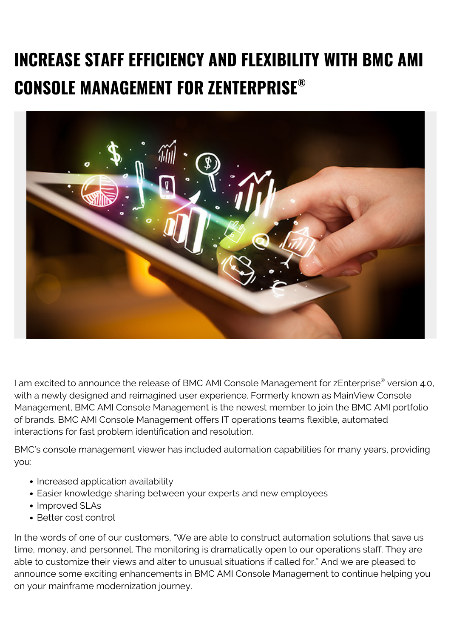## **INCREASE STAFF EFFICIENCY AND FLEXIBILITY WITH BMC AMI CONSOLE MANAGEMENT FOR ZENTERPRISE®**



I am excited to announce the release of BMC AMI Console Management for zEnterprise® version 4.0, with a newly designed and reimagined user experience. Formerly known as MainView Console Management, BMC AMI Console Management is the newest member to join the BMC AMI portfolio of brands. BMC AMI Console Management offers IT operations teams flexible, automated interactions for fast problem identification and resolution.

BMC's console management viewer has included automation capabilities for many years, providing you:

- Increased application availability
- Easier knowledge sharing between your experts and new employees
- Improved SLAs
- Better cost control

In the words of one of our customers, "We are able to construct automation solutions that save us time, money, and personnel. The monitoring is dramatically open to our operations staff. They are able to customize their views and alter to unusual situations if called for." And we are pleased to announce some exciting enhancements in BMC AMI Console Management to continue helping you on your mainframe modernization journey.